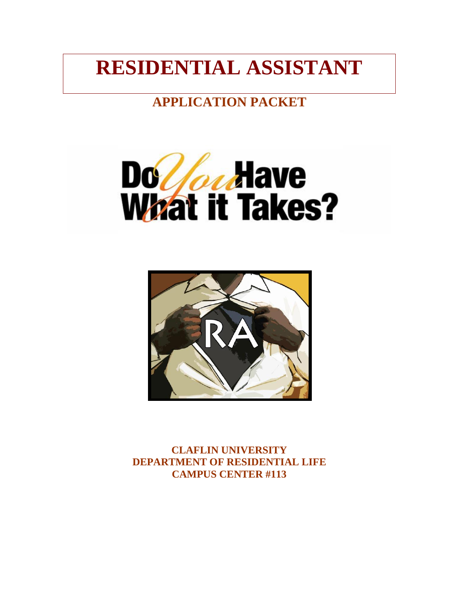# **RESIDENTIAL ASSISTANT**

# **APPLICATION PACKET**





**CLAFLIN UNIVERSITY DEPARTMENT OF RESIDENTIAL LIFE CAMPUS CENTER #113**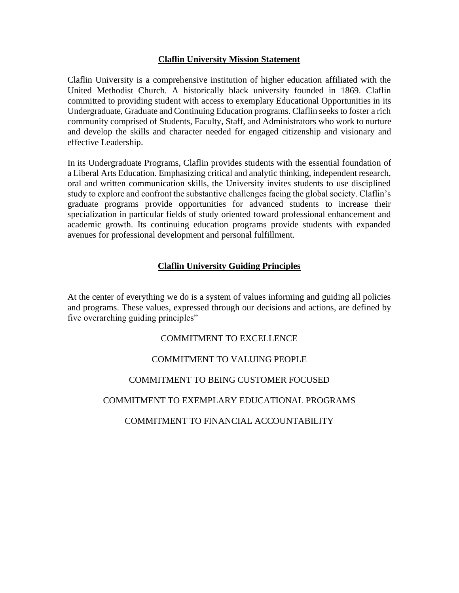# **Claflin University Mission Statement**

Claflin University is a comprehensive institution of higher education affiliated with the United Methodist Church. A historically black university founded in 1869. Claflin committed to providing student with access to exemplary Educational Opportunities in its Undergraduate, Graduate and Continuing Education programs. Claflin seeks to foster a rich community comprised of Students, Faculty, Staff, and Administrators who work to nurture and develop the skills and character needed for engaged citizenship and visionary and effective Leadership.

In its Undergraduate Programs, Claflin provides students with the essential foundation of a Liberal Arts Education. Emphasizing critical and analytic thinking, independent research, oral and written communication skills, the University invites students to use disciplined study to explore and confront the substantive challenges facing the global society. Claflin's graduate programs provide opportunities for advanced students to increase their specialization in particular fields of study oriented toward professional enhancement and academic growth. Its continuing education programs provide students with expanded avenues for professional development and personal fulfillment.

# **Claflin University Guiding Principles**

At the center of everything we do is a system of values informing and guiding all policies and programs. These values, expressed through our decisions and actions, are defined by five overarching guiding principles"

# COMMITMENT TO EXCELLENCE

# COMMITMENT TO VALUING PEOPLE

## COMMITMENT TO BEING CUSTOMER FOCUSED

## COMMITMENT TO EXEMPLARY EDUCATIONAL PROGRAMS

# COMMITMENT TO FINANCIAL ACCOUNTABILITY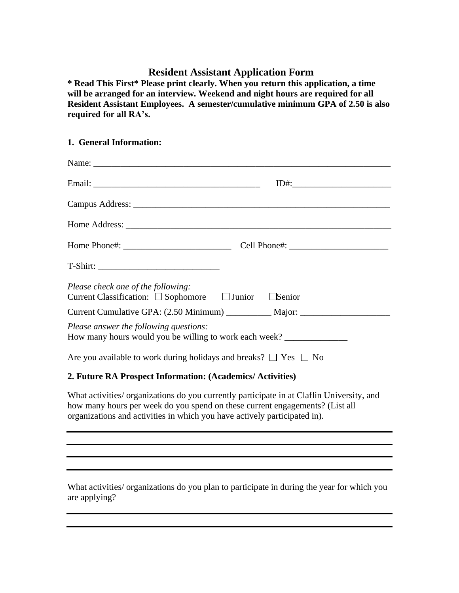# **Resident Assistant Application Form**

**\* Read This First\* Please print clearly. When you return this application, a time will be arranged for an interview. Weekend and night hours are required for all Resident Assistant Employees. A semester/cumulative minimum GPA of 2.50 is also required for all RA's.**

# **1. General Information:**

| Please check one of the following:<br>Current Classification: $\Box$ Sophomore $\Box$ Junior $\Box$ Senior |  |  |  |  |
|------------------------------------------------------------------------------------------------------------|--|--|--|--|
| Current Cumulative GPA: (2.50 Minimum) ____________ Major: _____________________                           |  |  |  |  |
| Please answer the following questions:<br>How many hours would you be willing to work each week?           |  |  |  |  |
| Are you available to work during holidays and breaks? $\Box$ Yes $\Box$ No                                 |  |  |  |  |
| 2. Future RA Prospect Information: (Academics/ Activities)                                                 |  |  |  |  |

What activities/ organizations do you currently participate in at Claflin University, and how many hours per week do you spend on these current engagements? (List all organizations and activities in which you have actively participated in).

What activities/ organizations do you plan to participate in during the year for which you are applying?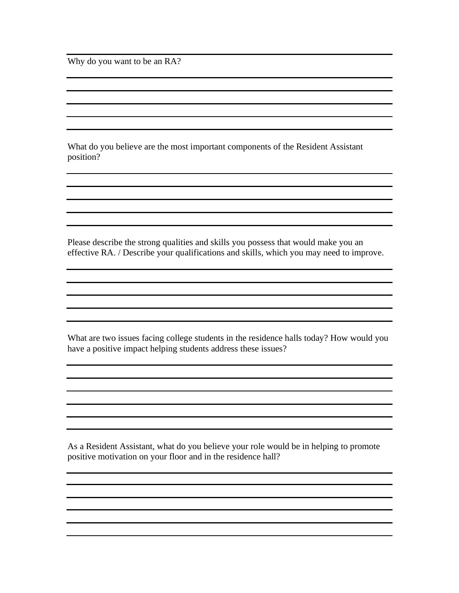Why do you want to be an RA?

What do you believe are the most important components of the Resident Assistant position?

Please describe the strong qualities and skills you possess that would make you an effective RA. / Describe your qualifications and skills, which you may need to improve.

What are two issues facing college students in the residence halls today? How would you have a positive impact helping students address these issues?

As a Resident Assistant, what do you believe your role would be in helping to promote positive motivation on your floor and in the residence hall?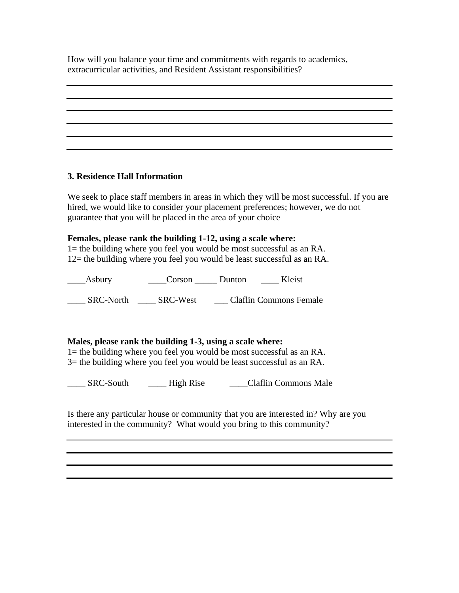How will you balance your time and commitments with regards to academics, extracurricular activities, and Resident Assistant responsibilities?

## **3. Residence Hall Information**

We seek to place staff members in areas in which they will be most successful. If you are hired, we would like to consider your placement preferences; however, we do not guarantee that you will be placed in the area of your choice

# **Females, please rank the building 1-12, using a scale where:**

1= the building where you feel you would be most successful as an RA. 12= the building where you feel you would be least successful as an RA.

\_\_\_\_Asbury \_\_\_\_Corson \_\_\_\_\_ Dunton \_\_\_\_ Kleist \_\_\_\_ SRC-North \_\_\_\_ SRC-West \_\_\_ Claflin Commons Female

# **Males, please rank the building 1-3, using a scale where:**

1= the building where you feel you would be most successful as an RA. 3= the building where you feel you would be least successful as an RA.

\_\_\_\_ SRC-South \_\_\_\_ High Rise \_\_\_\_Claflin Commons Male

Is there any particular house or community that you are interested in? Why are you interested in the community? What would you bring to this community?